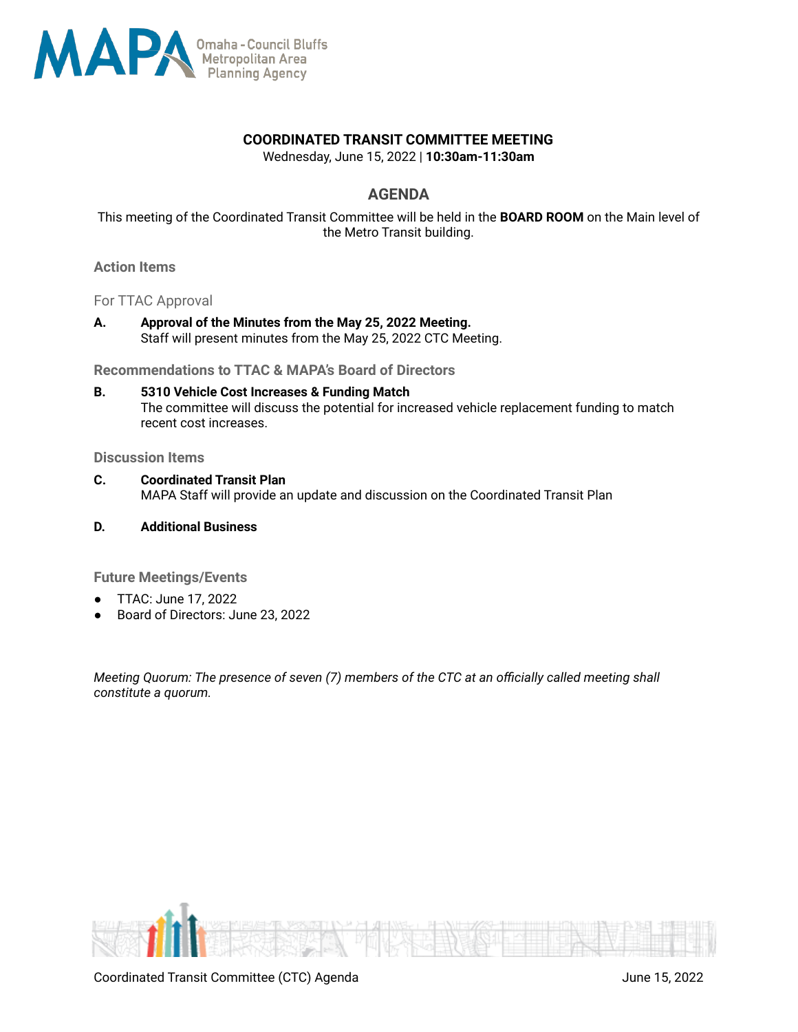

## **COORDINATED TRANSIT COMMITTEE MEETING**

Wednesday, June 15, 2022 | **10:30am-11:30am**

## **AGENDA**

This meeting of the Coordinated Transit Committee will be held in the **BOARD ROOM** on the Main level of the Metro Transit building.

#### **Action Items**

For TTAC Approval

**A. Approval of the Minutes from the May 25, 2022 Meeting.** Staff will present minutes from the May 25, 2022 CTC Meeting.

**Recommendations to TTAC & MAPA's Board of Directors**

**B. 5310 Vehicle Cost Increases & Funding Match** The committee will discuss the potential for increased vehicle replacement funding to match recent cost increases.

**Discussion Items**

- **C. Coordinated Transit Plan** MAPA Staff will provide an update and discussion on the Coordinated Transit Plan
- **D. Additional Business**

**Future Meetings/Events**

- TTAC: June 17, 2022
- Board of Directors: June 23, 2022

*Meeting Quorum: The presence of seven (7) members of the CTC at an officially called meeting shall constitute a quorum.*

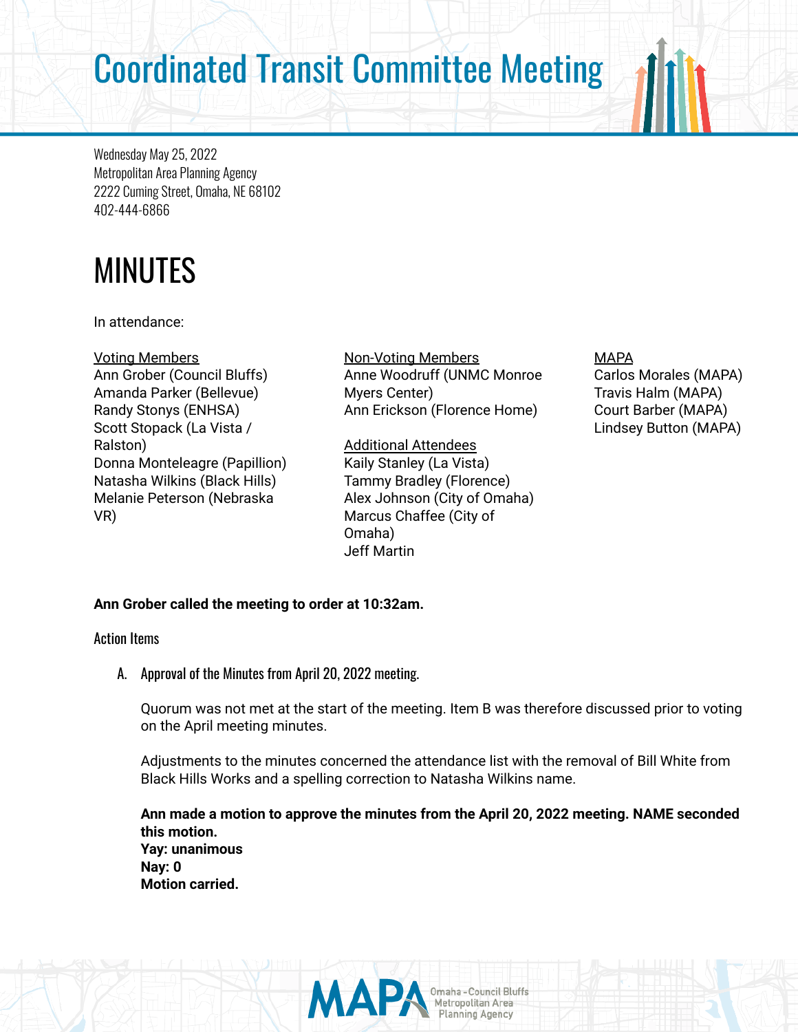# Coordinated Transit Committee Meeting

Wednesday May 25, 2022 Metropolitan Area Planning Agency 2222 Cuming Street, Omaha, NE 68102 402-444-6866

# MINUTES

In attendance:

Voting Members Ann Grober (Council Bluffs) Amanda Parker (Bellevue) Randy Stonys (ENHSA) Scott Stopack (La Vista / Ralston) Donna Monteleagre (Papillion) Natasha Wilkins (Black Hills) Melanie Peterson (Nebraska VR)

Non-Voting Members Anne Woodruff (UNMC Monroe Myers Center) Ann Erickson (Florence Home)

Additional Attendees Kaily Stanley (La Vista) Tammy Bradley (Florence) Alex Johnson (City of Omaha) Marcus Chaffee (City of Omaha) Jeff Martin

# MAPA

Carlos Morales (MAPA) Travis Halm (MAPA) Court Barber (MAPA) Lindsey Button (MAPA)

# **Ann Grober called the meeting to order at 10:32am.**

Action Items

A. Approval of the Minutes from April 20, 2022 meeting.

Quorum was not met at the start of the meeting. Item B was therefore discussed prior to voting on the April meeting minutes.

Adjustments to the minutes concerned the attendance list with the removal of Bill White from Black Hills Works and a spelling correction to Natasha Wilkins name.

**Ann made a motion to approve the minutes from the April 20, 2022 meeting. NAME seconded this motion. Yay: unanimous Nay: 0 Motion carried.**

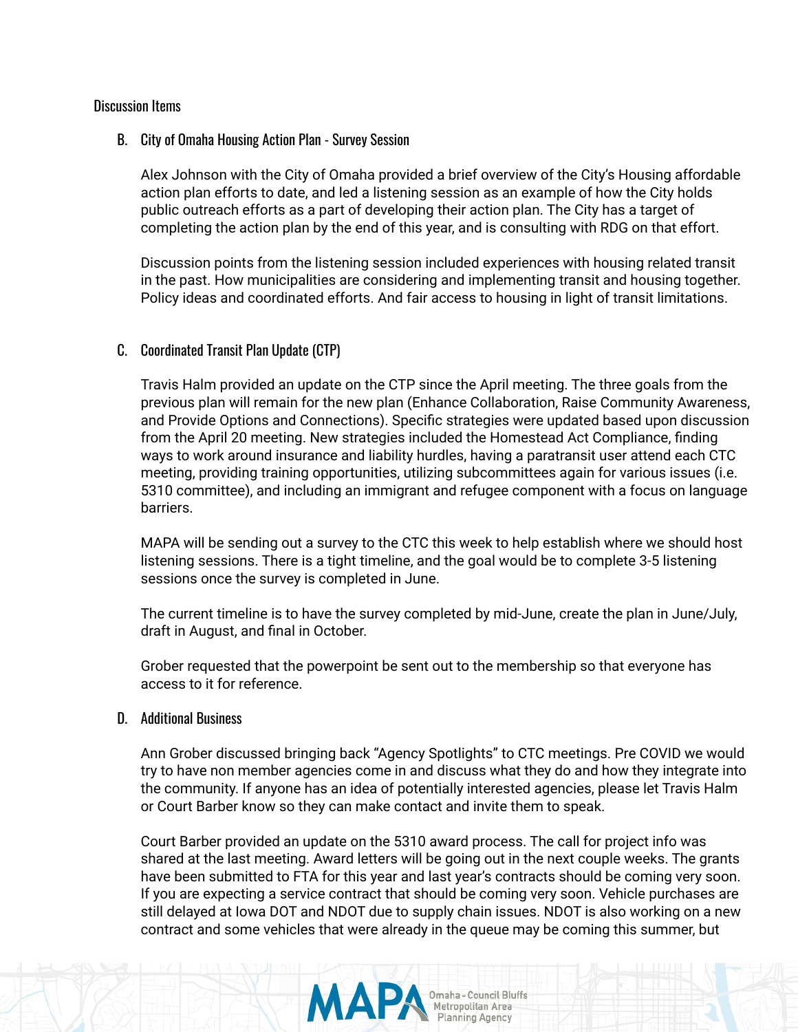#### Discussion Items

#### B. City of Omaha Housing Action Plan - Survey Session

Alex Johnson with the City of Omaha provided a brief overview of the City's Housing affordable action plan efforts to date, and led a listening session as an example of how the City holds public outreach efforts as a part of developing their action plan. The City has a target of completing the action plan by the end of this year, and is consulting with RDG on that effort.

Discussion points from the listening session included experiences with housing related transit in the past. How municipalities are considering and implementing transit and housing together. Policy ideas and coordinated efforts. And fair access to housing in light of transit limitations.

### C. Coordinated Transit Plan Update (CTP)

Travis Halm provided an update on the CTP since the April meeting. The three goals from the previous plan will remain for the new plan (Enhance Collaboration, Raise Community Awareness, and Provide Options and Connections). Specific strategies were updated based upon discussion from the April 20 meeting. New strategies included the Homestead Act Compliance, finding ways to work around insurance and liability hurdles, having a paratransit user attend each CTC meeting, providing training opportunities, utilizing subcommittees again for various issues (i.e. 5310 committee), and including an immigrant and refugee component with a focus on language barriers.

MAPA will be sending out a survey to the CTC this week to help establish where we should host listening sessions. There is a tight timeline, and the goal would be to complete 3-5 listening sessions once the survey is completed in June.

The current timeline is to have the survey completed by mid-June, create the plan in June/July, draft in August, and final in October.

Grober requested that the powerpoint be sent out to the membership so that everyone has access to it for reference.

#### D. Additional Business

Ann Grober discussed bringing back "Agency Spotlights" to CTC meetings. Pre COVID we would try to have non member agencies come in and discuss what they do and how they integrate into the community. If anyone has an idea of potentially interested agencies, please let Travis Halm or Court Barber know so they can make contact and invite them to speak.

Court Barber provided an update on the 5310 award process. The call for project info was shared at the last meeting. Award letters will be going out in the next couple weeks. The grants have been submitted to FTA for this year and last year's contracts should be coming very soon. If you are expecting a service contract that should be coming very soon. Vehicle purchases are still delayed at Iowa DOT and NDOT due to supply chain issues. NDOT is also working on a new contract and some vehicles that were already in the queue may be coming this summer, but

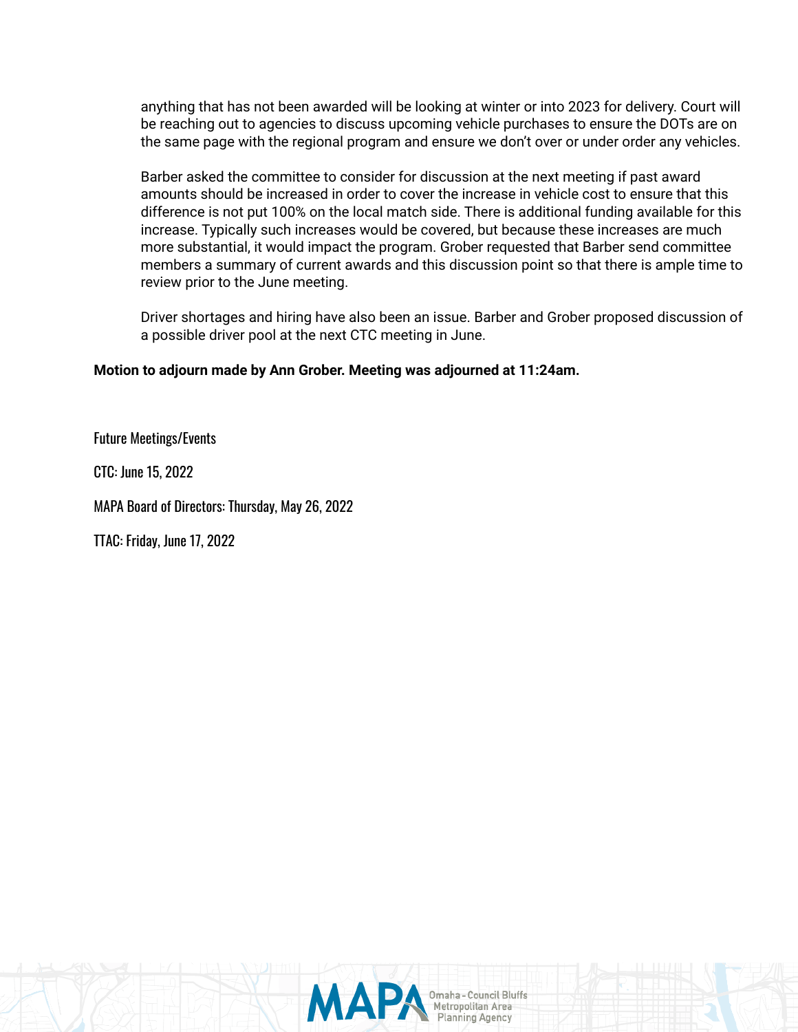anything that has not been awarded will be looking at winter or into 2023 for delivery. Court will be reaching out to agencies to discuss upcoming vehicle purchases to ensure the DOTs are on the same page with the regional program and ensure we don't over or under order any vehicles.

Barber asked the committee to consider for discussion at the next meeting if past award amounts should be increased in order to cover the increase in vehicle cost to ensure that this difference is not put 100% on the local match side. There is additional funding available for this increase. Typically such increases would be covered, but because these increases are much more substantial, it would impact the program. Grober requested that Barber send committee members a summary of current awards and this discussion point so that there is ample time to review prior to the June meeting.

Driver shortages and hiring have also been an issue. Barber and Grober proposed discussion of a possible driver pool at the next CTC meeting in June.

# **Motion to adjourn made by Ann Grober. Meeting was adjourned at 11:24am.**

Future Meetings/Events

CTC: June 15, 2022

MAPA Board of Directors: Thursday, May 26, 2022

TTAC: Friday, June 17, 2022